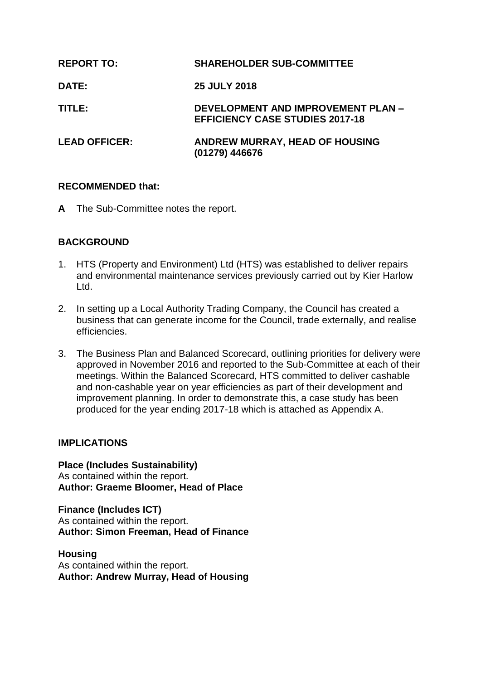| <b>REPORT TO:</b>    | <b>SHAREHOLDER SUB-COMMITTEE</b>                                             |
|----------------------|------------------------------------------------------------------------------|
| <b>DATE:</b>         | <b>25 JULY 2018</b>                                                          |
| TITLE:               | DEVELOPMENT AND IMPROVEMENT PLAN -<br><b>EFFICIENCY CASE STUDIES 2017-18</b> |
| <b>LEAD OFFICER:</b> | ANDREW MURRAY, HEAD OF HOUSING<br>(01279) 446676                             |

## **RECOMMENDED that:**

**A** The Sub-Committee notes the report.

## **BACKGROUND**

- 1. HTS (Property and Environment) Ltd (HTS) was established to deliver repairs and environmental maintenance services previously carried out by Kier Harlow Ltd.
- 2. In setting up a Local Authority Trading Company, the Council has created a business that can generate income for the Council, trade externally, and realise efficiencies.
- 3. The Business Plan and Balanced Scorecard, outlining priorities for delivery were approved in November 2016 and reported to the Sub-Committee at each of their meetings. Within the Balanced Scorecard, HTS committed to deliver cashable and non-cashable year on year efficiencies as part of their development and improvement planning. In order to demonstrate this, a case study has been produced for the year ending 2017-18 which is attached as Appendix A.

#### **IMPLICATIONS**

**Place (Includes Sustainability)** As contained within the report. **Author: Graeme Bloomer, Head of Place**

**Finance (Includes ICT)** As contained within the report. **Author: Simon Freeman, Head of Finance**

**Housing** As contained within the report. **Author: Andrew Murray, Head of Housing**